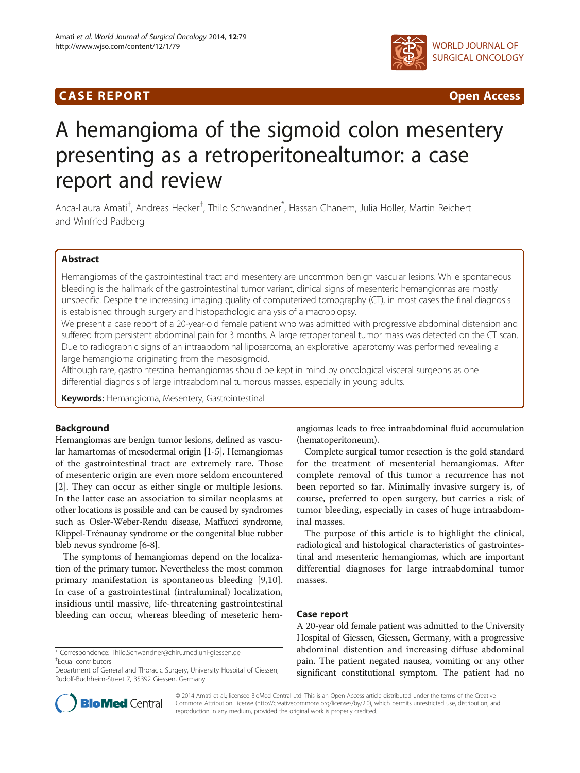## **CASE REPORT CASE ACCESS**



# A hemangioma of the sigmoid colon mesentery presenting as a retroperitonealtumor: a case report and review

Anca-Laura Amati<sup>†</sup>, Andreas Hecker<sup>†</sup>, Thilo Schwandner<sup>\*</sup>, Hassan Ghanem, Julia Holler, Martin Reichert and Winfried Padberg

## Abstract

Hemangiomas of the gastrointestinal tract and mesentery are uncommon benign vascular lesions. While spontaneous bleeding is the hallmark of the gastrointestinal tumor variant, clinical signs of mesenteric hemangiomas are mostly unspecific. Despite the increasing imaging quality of computerized tomography (CT), in most cases the final diagnosis is established through surgery and histopathologic analysis of a macrobiopsy.

We present a case report of a 20-year-old female patient who was admitted with progressive abdominal distension and suffered from persistent abdominal pain for 3 months. A large retroperitoneal tumor mass was detected on the CT scan. Due to radiographic signs of an intraabdominal liposarcoma, an explorative laparotomy was performed revealing a large hemangioma originating from the mesosigmoid.

Although rare, gastrointestinal hemangiomas should be kept in mind by oncological visceral surgeons as one differential diagnosis of large intraabdominal tumorous masses, especially in young adults.

Keywords: Hemangioma, Mesentery, Gastrointestinal

## Background

Hemangiomas are benign tumor lesions, defined as vascular hamartomas of mesodermal origin [\[1](#page-3-0)-[5](#page-3-0)]. Hemangiomas of the gastrointestinal tract are extremely rare. Those of mesenteric origin are even more seldom encountered [[2\]](#page-3-0). They can occur as either single or multiple lesions. In the latter case an association to similar neoplasms at other locations is possible and can be caused by syndromes such as Osler-Weber-Rendu disease, Maffucci syndrome, Klippel-Trénaunay syndrome or the congenital blue rubber bleb nevus syndrome [\[6](#page-3-0)[-8\]](#page-4-0).

The symptoms of hemangiomas depend on the localization of the primary tumor. Nevertheless the most common primary manifestation is spontaneous bleeding [[9,10](#page-4-0)]. In case of a gastrointestinal (intraluminal) localization, insidious until massive, life-threatening gastrointestinal bleeding can occur, whereas bleeding of meseteric hem-

\* Correspondence: [Thilo.Schwandner@chiru.med.uni-giessen.de](mailto:Thilo.Schwandner@chiru.med.uni-giessen.de) † Equal contributors

angiomas leads to free intraabdominal fluid accumulation (hematoperitoneum).

Complete surgical tumor resection is the gold standard for the treatment of mesenterial hemangiomas. After complete removal of this tumor a recurrence has not been reported so far. Minimally invasive surgery is, of course, preferred to open surgery, but carries a risk of tumor bleeding, especially in cases of huge intraabdominal masses.

The purpose of this article is to highlight the clinical, radiological and histological characteristics of gastrointestinal and mesenteric hemangiomas, which are important differential diagnoses for large intraabdominal tumor masses.

## Case report

A 20-year old female patient was admitted to the University Hospital of Giessen, Giessen, Germany, with a progressive abdominal distention and increasing diffuse abdominal pain. The patient negated nausea, vomiting or any other significant constitutional symptom. The patient had no



© 2014 Amati et al.; licensee BioMed Central Ltd. This is an Open Access article distributed under the terms of the Creative Commons Attribution License [\(http://creativecommons.org/licenses/by/2.0\)](http://creativecommons.org/licenses/by/2.0), which permits unrestricted use, distribution, and reproduction in any medium, provided the original work is properly credited.

Department of General and Thoracic Surgery, University Hospital of Giessen, Rudolf-Buchheim-Street 7, 35392 Giessen, Germany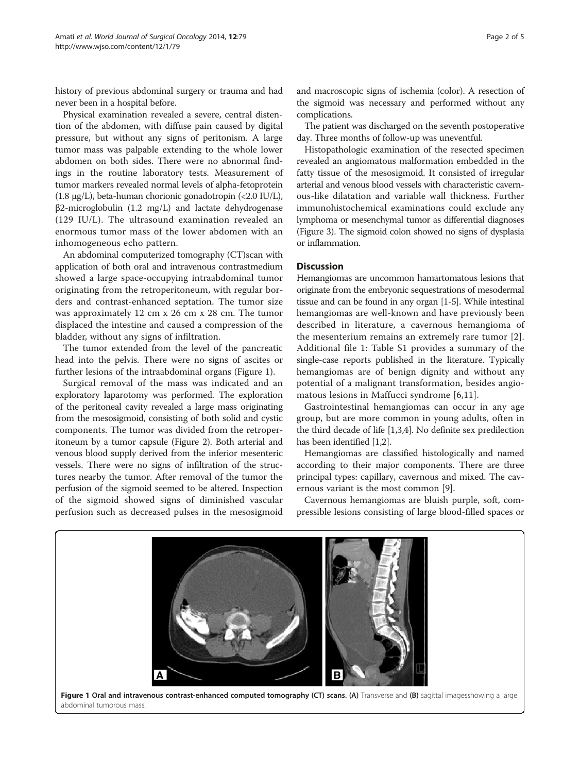history of previous abdominal surgery or trauma and had never been in a hospital before.

Physical examination revealed a severe, central distention of the abdomen, with diffuse pain caused by digital pressure, but without any signs of peritonism. A large tumor mass was palpable extending to the whole lower abdomen on both sides. There were no abnormal findings in the routine laboratory tests. Measurement of tumor markers revealed normal levels of alpha-fetoprotein (1.8 μg/L), beta-human chorionic gonadotropin (<2.0 IU/L), β2-microglobulin (1.2 mg/L) and lactate dehydrogenase (129 IU/L). The ultrasound examination revealed an enormous tumor mass of the lower abdomen with an inhomogeneous echo pattern.

An abdominal computerized tomography (CT)scan with application of both oral and intravenous contrastmedium showed a large space-occupying intraabdominal tumor originating from the retroperitoneum, with regular borders and contrast-enhanced septation. The tumor size was approximately 12 cm x 26 cm x 28 cm. The tumor displaced the intestine and caused a compression of the bladder, without any signs of infiltration.

The tumor extended from the level of the pancreatic head into the pelvis. There were no signs of ascites or further lesions of the intraabdominal organs (Figure 1).

Surgical removal of the mass was indicated and an exploratory laparotomy was performed. The exploration of the peritoneal cavity revealed a large mass originating from the mesosigmoid, consisting of both solid and cystic components. The tumor was divided from the retroperitoneum by a tumor capsule (Figure [2\)](#page-2-0). Both arterial and venous blood supply derived from the inferior mesenteric vessels. There were no signs of infiltration of the structures nearby the tumor. After removal of the tumor the perfusion of the sigmoid seemed to be altered. Inspection of the sigmoid showed signs of diminished vascular perfusion such as decreased pulses in the mesosigmoid

and macroscopic signs of ischemia (color). A resection of the sigmoid was necessary and performed without any complications.

The patient was discharged on the seventh postoperative day. Three months of follow-up was uneventful.

Histopathologic examination of the resected specimen revealed an angiomatous malformation embedded in the fatty tissue of the mesosigmoid. It consisted of irregular arterial and venous blood vessels with characteristic cavernous-like dilatation and variable wall thickness. Further immunohistochemical examinations could exclude any lymphoma or mesenchymal tumor as differential diagnoses (Figure [3](#page-2-0)). The sigmoid colon showed no signs of dysplasia or inflammation.

## Discussion

Hemangiomas are uncommon hamartomatous lesions that originate from the embryonic sequestrations of mesodermal tissue and can be found in any organ [[1-5\]](#page-3-0). While intestinal hemangiomas are well-known and have previously been described in literature, a cavernous hemangioma of the mesenterium remains an extremely rare tumor [[2](#page-3-0)]. Additional file [1](#page-3-0): Table S1 provides a summary of the single-case reports published in the literature. Typically hemangiomas are of benign dignity and without any potential of a malignant transformation, besides angiomatous lesions in Maffucci syndrome [[6](#page-3-0)[,11](#page-4-0)].

Gastrointestinal hemangiomas can occur in any age group, but are more common in young adults, often in the third decade of life [\[1,3,4\]](#page-3-0). No definite sex predilection has been identified [\[1,2](#page-3-0)].

Hemangiomas are classified histologically and named according to their major components. There are three principal types: capillary, cavernous and mixed. The cavernous variant is the most common [\[9](#page-4-0)].

Cavernous hemangiomas are bluish purple, soft, compressible lesions consisting of large blood-filled spaces or

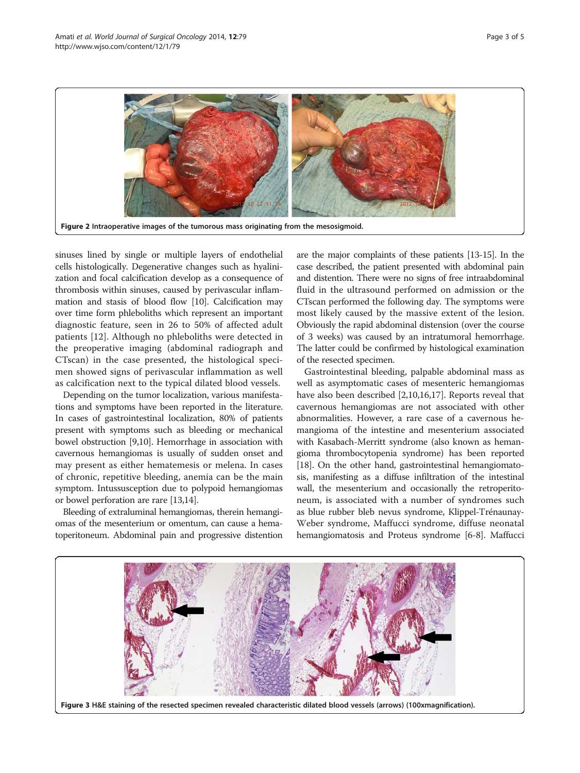<span id="page-2-0"></span>

sinuses lined by single or multiple layers of endothelial cells histologically. Degenerative changes such as hyalinization and focal calcification develop as a consequence of thrombosis within sinuses, caused by perivascular inflammation and stasis of blood flow [[10](#page-4-0)]. Calcification may over time form phleboliths which represent an important diagnostic feature, seen in 26 to 50% of affected adult patients [\[12](#page-4-0)]. Although no phleboliths were detected in the preoperative imaging (abdominal radiograph and CTscan) in the case presented, the histological specimen showed signs of perivascular inflammation as well as calcification next to the typical dilated blood vessels.

Depending on the tumor localization, various manifestations and symptoms have been reported in the literature. In cases of gastrointestinal localization, 80% of patients present with symptoms such as bleeding or mechanical bowel obstruction [[9,10](#page-4-0)]. Hemorrhage in association with cavernous hemangiomas is usually of sudden onset and may present as either hematemesis or melena. In cases of chronic, repetitive bleeding, anemia can be the main symptom. Intussusception due to polypoid hemangiomas or bowel perforation are rare [[13,14\]](#page-4-0).

Bleeding of extraluminal hemangiomas, therein hemangiomas of the mesenterium or omentum, can cause a hematoperitoneum. Abdominal pain and progressive distention

are the major complaints of these patients [\[13](#page-4-0)-[15](#page-4-0)]. In the case described, the patient presented with abdominal pain and distention. There were no signs of free intraabdominal fluid in the ultrasound performed on admission or the CTscan performed the following day. The symptoms were most likely caused by the massive extent of the lesion. Obviously the rapid abdominal distension (over the course of 3 weeks) was caused by an intratumoral hemorrhage. The latter could be confirmed by histological examination of the resected specimen.

Gastrointestinal bleeding, palpable abdominal mass as well as asymptomatic cases of mesenteric hemangiomas have also been described [\[2](#page-3-0)[,10,16,17\]](#page-4-0). Reports reveal that cavernous hemangiomas are not associated with other abnormalities. However, a rare case of a cavernous hemangioma of the intestine and mesenterium associated with Kasabach-Merritt syndrome (also known as hemangioma thrombocytopenia syndrome) has been reported [[18](#page-4-0)]. On the other hand, gastrointestinal hemangiomatosis, manifesting as a diffuse infiltration of the intestinal wall, the mesenterium and occasionally the retroperitoneum, is associated with a number of syndromes such as blue rubber bleb nevus syndrome, Klippel-Trénaunay-Weber syndrome, Maffucci syndrome, diffuse neonatal hemangiomatosis and Proteus syndrome [\[6](#page-3-0)-[8\]](#page-4-0). Maffucci

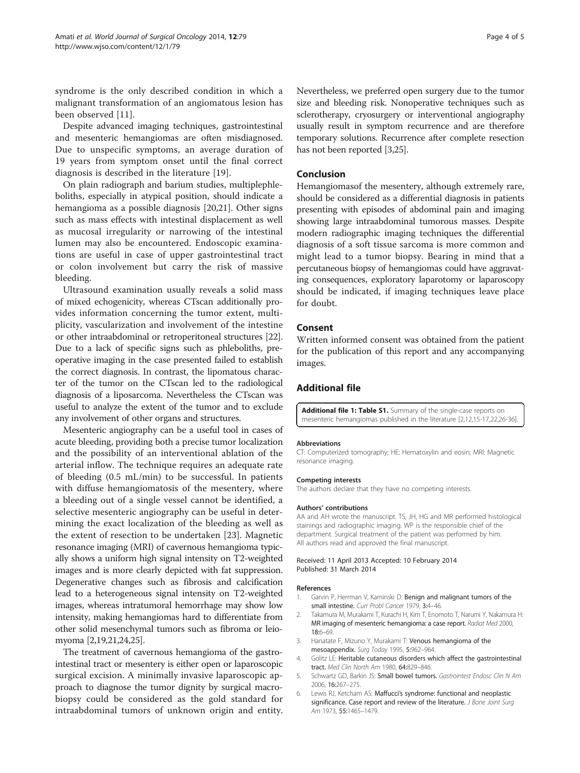<span id="page-3-0"></span>syndrome is the only described condition in which a malignant transformation of an angiomatous lesion has been observed [[11\]](#page-4-0).

Despite advanced imaging techniques, gastrointestinal and mesenteric hemangiomas are often misdiagnosed. Due to unspecific symptoms, an average duration of 19 years from symptom onset until the final correct diagnosis is described in the literature [[19\]](#page-4-0).

On plain radiograph and barium studies, multiplephleboliths, especially in atypical position, should indicate a hemangioma as a possible diagnosis [\[20,21\]](#page-4-0). Other signs such as mass effects with intestinal displacement as well as mucosal irregularity or narrowing of the intestinal lumen may also be encountered. Endoscopic examinations are useful in case of upper gastrointestinal tract or colon involvement but carry the risk of massive bleeding.

Ultrasound examination usually reveals a solid mass of mixed echogenicity, whereas CTscan additionally provides information concerning the tumor extent, multiplicity, vascularization and involvement of the intestine or other intraabdominal or retroperitoneal structures [[22](#page-4-0)]. Due to a lack of specific signs such as phleboliths, preoperative imaging in the case presented failed to establish the correct diagnosis. In contrast, the lipomatous character of the tumor on the CTscan led to the radiological diagnosis of a liposarcoma. Nevertheless the CTscan was useful to analyze the extent of the tumor and to exclude any involvement of other organs and structures.

Mesenteric angiography can be a useful tool in cases of acute bleeding, providing both a precise tumor localization and the possibility of an interventional ablation of the arterial inflow. The technique requires an adequate rate of bleeding (0.5 mL/min) to be successful. In patients with diffuse hemangiomatosis of the mesentery, where a bleeding out of a single vessel cannot be identified, a selective mesenteric angiography can be useful in determining the exact localization of the bleeding as well as the extent of resection to be undertaken [[23](#page-4-0)]. Magnetic resonance imaging (MRI) of cavernous hemangioma typically shows a uniform high signal intensity on T2-weighted images and is more clearly depicted with fat suppression. Degenerative changes such as fibrosis and calcification lead to a heterogeneous signal intensity on T2-weighted images, whereas intratumoral hemorrhage may show low intensity, making hemangiomas hard to differentiate from other solid mesenchymal tumors such as fibroma or leiomyoma [2[,19,21,24,25\]](#page-4-0).

The treatment of cavernous hemangioma of the gastrointestinal tract or mesentery is either open or laparoscopic surgical excision. A minimally invasive laparoscopic approach to diagnose the tumor dignity by surgical macrobiopsy could be considered as the gold standard for intraabdominal tumors of unknown origin and entity. Nevertheless, we preferred open surgery due to the tumor size and bleeding risk. Nonoperative techniques such as sclerotherapy, cryosurgery or interventional angiography usually result in symptom recurrence and are therefore temporary solutions. Recurrence after complete resection has not been reported [3[,25](#page-4-0)].

#### Conclusion

Hemangiomasof the mesentery, although extremely rare, should be considered as a differential diagnosis in patients presenting with episodes of abdominal pain and imaging showing large intraabdominal tumorous masses. Despite modern radiographic imaging techniques the differential diagnosis of a soft tissue sarcoma is more common and might lead to a tumor biopsy. Bearing in mind that a percutaneous biopsy of hemangiomas could have aggravating consequences, exploratory laparotomy or laparoscopy should be indicated, if imaging techniques leave place for doubt.

## Consent

Written informed consent was obtained from the patient for the publication of this report and any accompanying images.

## Additional file

[Additional file 1: Table S1.](http://www.biomedcentral.com/content/supplementary/1477-7819-12-79-S1.xls) Summary of the single-case reports on mesenteric hemangiomas published in the literature [2,[12,15-17,22,26](#page-4-0)-[36\]](#page-4-0).

#### Abbreviations

CT: Computerized tomography; HE: Hematoxylin and eosin; MRI: Magnetic resonance imaging.

#### Competing interests

The authors declare that they have no competing interests.

#### Authors' contributions

AA and AH wrote the manuscript. TS, JH, HG and MR performed histological stainings and radiographic imaging. WP is the responsible chief of the department. Surgical treatment of the patient was performed by him. All authors read and approved the final manuscript.

#### Received: 11 April 2013 Accepted: 10 February 2014 Published: 31 March 2014

#### References

- 1. Garvin P, Herrman V, Kaminski D: Benign and malignant tumors of the small intestine. Curr Probl Cancer 1979, 3:4-46.
- 2. Takamura M, Murakami T, Kurachi H, Kim T, Enomoto T, Narumi Y, Nakamura H: MR imaging of mesenteric hemangioma: a case report. Radiat Med 2000, 18:6–69.
- 3. Hanatate F, Mizuno Y, Murakami T: Venous hemangioma of the mesoappendix. Surg Today 1995, 5:962–964.
- 4. Golitz LE: Heritable cutaneous disorders which affect the gastrointestinal tract. Med Clin North Am 1980, 64:829–846.
- 5. Schwartz GD, Barkin JS: Small bowel tumors. Gastrointest Endosc Clin N Am 2006, 16:267–275.
- 6. Lewis RJ, Ketcham AS: Maffucci's syndrome: functional and neoplastic significance. Case report and review of the literature. J Bone Joint Surg Am 1973, 55:1465-1479.